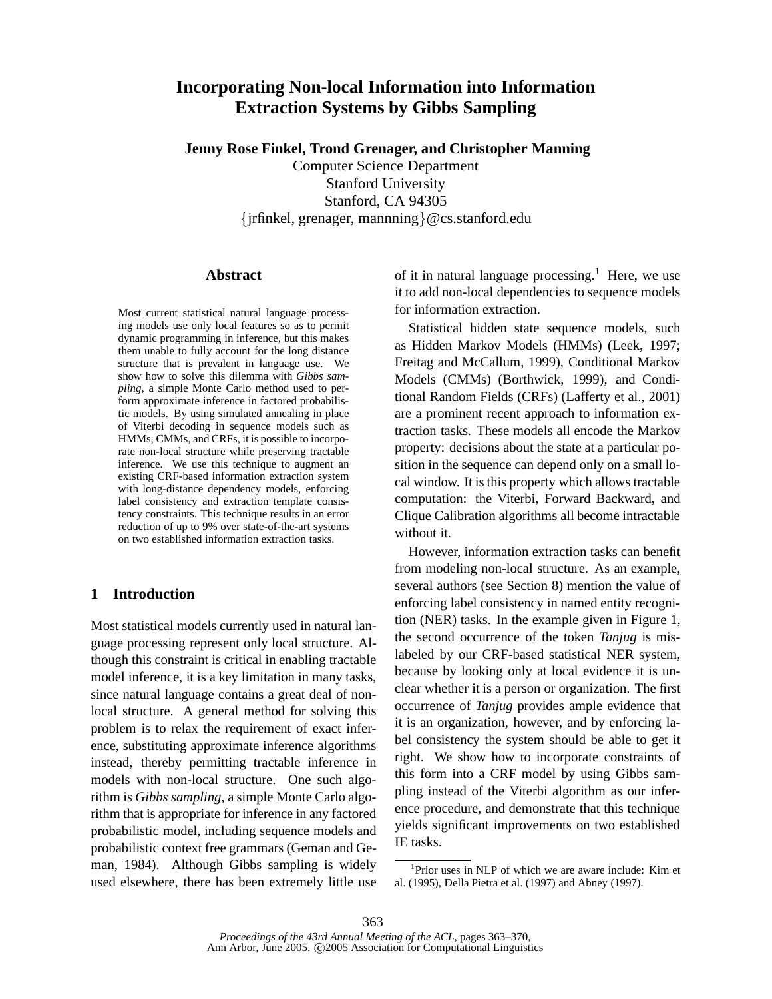# **Incorporating Non-local Information into Information Extraction Systems by Gibbs Sampling**

**Jenny Rose Finkel, Trond Grenager, and Christopher Manning**

Computer Science Department Stanford University Stanford, CA 94305 {jrfinkel, grenager, mannning}@cs.stanford.edu

#### **Abstract**

Most current statistical natural language processing models use only local features so as to permit dynamic programming in inference, but this makes them unable to fully account for the long distance structure that is prevalent in language use. We show how to solve this dilemma with *Gibbs sampling*, a simple Monte Carlo method used to perform approximate inference in factored probabilistic models. By using simulated annealing in place of Viterbi decoding in sequence models such as HMMs, CMMs, and CRFs, it is possible to incorporate non-local structure while preserving tractable inference. We use this technique to augment an existing CRF-based information extraction system with long-distance dependency models, enforcing label consistency and extraction template consistency constraints. This technique results in an error reduction of up to 9% over state-of-the-art systems on two established information extraction tasks.

# **1 Introduction**

Most statistical models currently used in natural language processing represent only local structure. Although this constraint is critical in enabling tractable model inference, it is a key limitation in many tasks, since natural language contains a great deal of nonlocal structure. A general method for solving this problem is to relax the requirement of exact inference, substituting approximate inference algorithms instead, thereby permitting tractable inference in models with non-local structure. One such algorithm is *Gibbs sampling*, a simple Monte Carlo algorithm that is appropriate for inference in any factored probabilistic model, including sequence models and probabilistic context free grammars (Geman and Geman, 1984). Although Gibbs sampling is widely used elsewhere, there has been extremely little use of it in natural language processing.<sup>1</sup> Here, we use it to add non-local dependencies to sequence models for information extraction.

Statistical hidden state sequence models, such as Hidden Markov Models (HMMs) (Leek, 1997; Freitag and McCallum, 1999), Conditional Markov Models (CMMs) (Borthwick, 1999), and Conditional Random Fields (CRFs) (Lafferty et al., 2001) are a prominent recent approach to information extraction tasks. These models all encode the Markov property: decisions about the state at a particular position in the sequence can depend only on a small local window. It is this property which allows tractable computation: the Viterbi, Forward Backward, and Clique Calibration algorithms all become intractable without it.

However, information extraction tasks can benefit from modeling non-local structure. As an example, several authors (see Section 8) mention the value of enforcing label consistency in named entity recognition (NER) tasks. In the example given in Figure 1, the second occurrence of the token *Tanjug* is mislabeled by our CRF-based statistical NER system, because by looking only at local evidence it is unclear whether it is a person or organization. The first occurrence of *Tanjug* provides ample evidence that it is an organization, however, and by enforcing label consistency the system should be able to get it right. We show how to incorporate constraints of this form into a CRF model by using Gibbs sampling instead of the Viterbi algorithm as our inference procedure, and demonstrate that this technique yields significant improvements on two established IE tasks.

<sup>1</sup> Prior uses in NLP of which we are aware include: Kim et al. (1995), Della Pietra et al. (1997) and Abney (1997).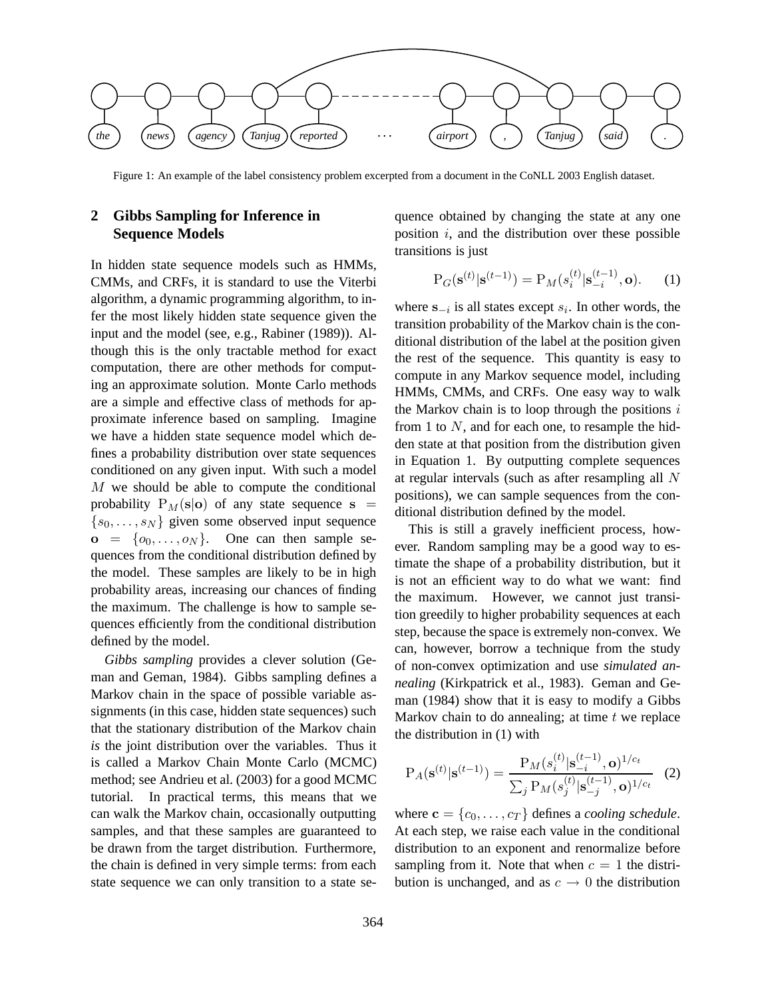

Figure 1: An example of the label consistency problem excerpted from a document in the CoNLL 2003 English dataset.

# **2 Gibbs Sampling for Inference in Sequence Models**

In hidden state sequence models such as HMMs, CMMs, and CRFs, it is standard to use the Viterbi algorithm, a dynamic programming algorithm, to infer the most likely hidden state sequence given the input and the model (see, e.g., Rabiner (1989)). Although this is the only tractable method for exact computation, there are other methods for computing an approximate solution. Monte Carlo methods are a simple and effective class of methods for approximate inference based on sampling. Imagine we have a hidden state sequence model which defines a probability distribution over state sequences conditioned on any given input. With such a model M we should be able to compute the conditional probability  $P_M(s|\mathbf{o})$  of any state sequence s =  ${s_0, \ldots, s_N}$  given some observed input sequence  $\mathbf{o} = \{o_0, \ldots, o_N\}$ . One can then sample sequences from the conditional distribution defined by the model. These samples are likely to be in high probability areas, increasing our chances of finding the maximum. The challenge is how to sample sequences efficiently from the conditional distribution defined by the model.

*Gibbs sampling* provides a clever solution (Geman and Geman, 1984). Gibbs sampling defines a Markov chain in the space of possible variable assignments (in this case, hidden state sequences) such that the stationary distribution of the Markov chain *is* the joint distribution over the variables. Thus it is called a Markov Chain Monte Carlo (MCMC) method; see Andrieu et al. (2003) for a good MCMC tutorial. In practical terms, this means that we can walk the Markov chain, occasionally outputting samples, and that these samples are guaranteed to be drawn from the target distribution. Furthermore, the chain is defined in very simple terms: from each state sequence we can only transition to a state sequence obtained by changing the state at any one position  $i$ , and the distribution over these possible transitions is just

$$
P_G(\mathbf{s}^{(t)}|\mathbf{s}^{(t-1)}) = P_M(s_i^{(t)}|\mathbf{s}_{-i}^{(t-1)}, \mathbf{o}).
$$
 (1)

where  $s_{-i}$  is all states except  $s_i$ . In other words, the transition probability of the Markov chain is the conditional distribution of the label at the position given the rest of the sequence. This quantity is easy to compute in any Markov sequence model, including HMMs, CMMs, and CRFs. One easy way to walk the Markov chain is to loop through the positions  $i$ from 1 to  $N$ , and for each one, to resample the hidden state at that position from the distribution given in Equation 1. By outputting complete sequences at regular intervals (such as after resampling all N positions), we can sample sequences from the conditional distribution defined by the model.

This is still a gravely inefficient process, however. Random sampling may be a good way to estimate the shape of a probability distribution, but it is not an efficient way to do what we want: find the maximum. However, we cannot just transition greedily to higher probability sequences at each step, because the space is extremely non-convex. We can, however, borrow a technique from the study of non-convex optimization and use *simulated annealing* (Kirkpatrick et al., 1983). Geman and Geman (1984) show that it is easy to modify a Gibbs Markov chain to do annealing; at time  $t$  we replace the distribution in (1) with

$$
P_A(\mathbf{s}^{(t)}|\mathbf{s}^{(t-1)}) = \frac{P_M(s_i^{(t)}|\mathbf{s}_{-i}^{(t-1)}, \mathbf{o})^{1/c_t}}{\sum_j P_M(s_j^{(t)}|\mathbf{s}_{-j}^{(t-1)}, \mathbf{o})^{1/c_t}}
$$
(2)

where  $\mathbf{c} = \{c_0, \dots, c_T\}$  defines a *cooling schedule*. At each step, we raise each value in the conditional distribution to an exponent and renormalize before sampling from it. Note that when  $c = 1$  the distribution is unchanged, and as  $c \rightarrow 0$  the distribution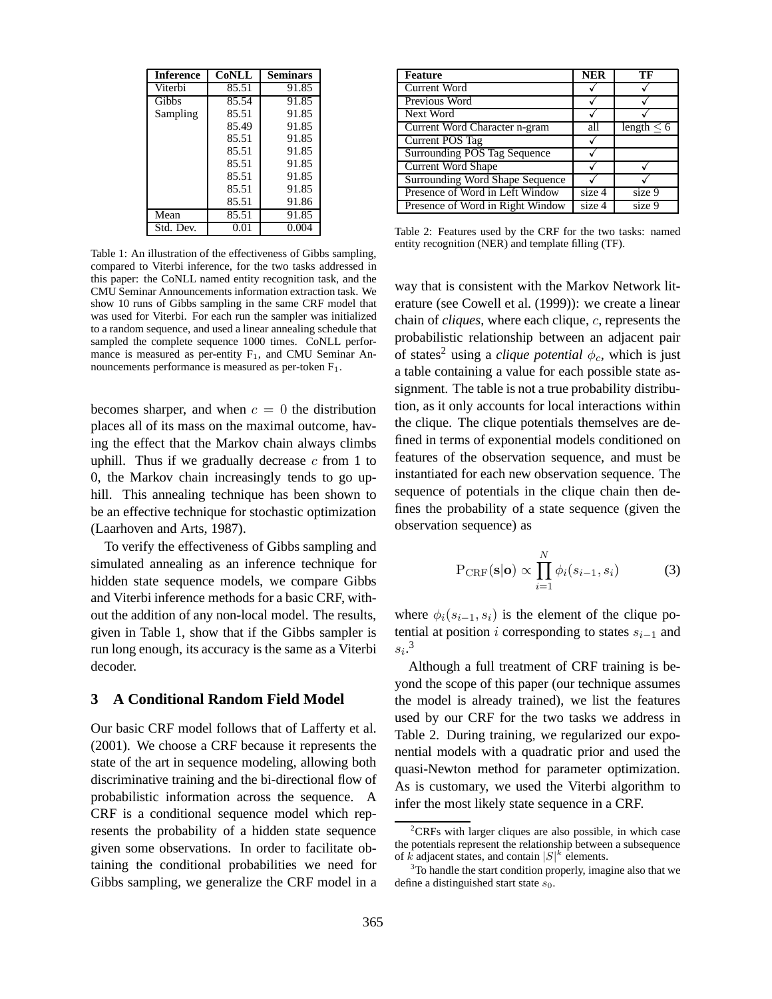| <b>Tnference</b> | CoNLL | Seminars |
|------------------|-------|----------|
| Viterbi          | 85.51 | 91.85    |
| Gibbs            | 85.54 | 91.85    |
| Sampling         | 85.51 | 91.85    |
|                  | 85.49 | 91.85    |
|                  | 85.51 | 91.85    |
|                  | 85.51 | 91.85    |
|                  | 85.51 | 91.85    |
|                  | 85.51 | 91.85    |
|                  | 85.51 | 91.85    |
|                  | 85.51 | 91.86    |
| Mean             | 85.51 | 91.85    |
| Std. Dev.        | 0.01  | 0.004    |

Table 1: An illustration of the effectiveness of Gibbs sampling, compared to Viterbi inference, for the two tasks addressed in this paper: the CoNLL named entity recognition task, and the CMU Seminar Announcements information extraction task. We show 10 runs of Gibbs sampling in the same CRF model that was used for Viterbi. For each run the sampler was initialized to a random sequence, and used a linear annealing schedule that sampled the complete sequence 1000 times. CoNLL performance is measured as per-entity  $F_1$ , and CMU Seminar Announcements performance is measured as per-token F<sub>1</sub>.

becomes sharper, and when  $c = 0$  the distribution places all of its mass on the maximal outcome, having the effect that the Markov chain always climbs uphill. Thus if we gradually decrease  $c$  from 1 to 0, the Markov chain increasingly tends to go uphill. This annealing technique has been shown to be an effective technique for stochastic optimization (Laarhoven and Arts, 1987).

To verify the effectiveness of Gibbs sampling and simulated annealing as an inference technique for hidden state sequence models, we compare Gibbs and Viterbi inference methods for a basic CRF, without the addition of any non-local model. The results, given in Table 1, show that if the Gibbs sampler is run long enough, its accuracy is the same as a Viterbi decoder.

#### **3 A Conditional Random Field Model**

Our basic CRF model follows that of Lafferty et al. (2001). We choose a CRF because it represents the state of the art in sequence modeling, allowing both discriminative training and the bi-directional flow of probabilistic information across the sequence. A CRF is a conditional sequence model which represents the probability of a hidden state sequence given some observations. In order to facilitate obtaining the conditional probabilities we need for Gibbs sampling, we generalize the CRF model in a

| <b>Feature</b>                      | <b>NER</b>                 | TF              |
|-------------------------------------|----------------------------|-----------------|
| Current Word                        |                            |                 |
| Previous Word                       |                            |                 |
| Next Word                           |                            |                 |
| Current Word Character n-gram       | all                        | Tength $\leq 6$ |
| <b>Current POS Tag</b>              |                            |                 |
| <b>Surrounding POS Tag Sequence</b> |                            |                 |
| <b>Current Word Shape</b>           |                            |                 |
| Surrounding Word Shape Sequence     |                            |                 |
| Presence of Word in Left Window     | $\overline{\text{size}}$ 4 | size 9          |
| Presence of Word in Right Window    | size 4                     | size 9          |

Table 2: Features used by the CRF for the two tasks: named entity recognition (NER) and template filling (TF).

way that is consistent with the Markov Network literature (see Cowell et al. (1999)): we create a linear chain of *cliques*, where each clique, c, represents the probabilistic relationship between an adjacent pair of states<sup>2</sup> using a *clique potential*  $\phi_c$ , which is just a table containing a value for each possible state assignment. The table is not a true probability distribution, as it only accounts for local interactions within the clique. The clique potentials themselves are defined in terms of exponential models conditioned on features of the observation sequence, and must be instantiated for each new observation sequence. The sequence of potentials in the clique chain then defines the probability of a state sequence (given the observation sequence) as

$$
P_{CRF}(\mathbf{s}|\mathbf{o}) \propto \prod_{i=1}^{N} \phi_i(s_{i-1}, s_i)
$$
 (3)

where  $\phi_i(s_{i-1}, s_i)$  is the element of the clique potential at position i corresponding to states  $s_{i-1}$  and  $s_i$ <sup>3</sup>

Although a full treatment of CRF training is beyond the scope of this paper (our technique assumes the model is already trained), we list the features used by our CRF for the two tasks we address in Table 2. During training, we regularized our exponential models with a quadratic prior and used the quasi-Newton method for parameter optimization. As is customary, we used the Viterbi algorithm to infer the most likely state sequence in a CRF.

 ${}^{2}$ CRFs with larger cliques are also possible, in which case the potentials represent the relationship between a subsequence of  $k$  adjacent states, and contain  $|S|^k$  elements.

<sup>&</sup>lt;sup>3</sup>To handle the start condition properly, imagine also that we define a distinguished start state  $s_0$ .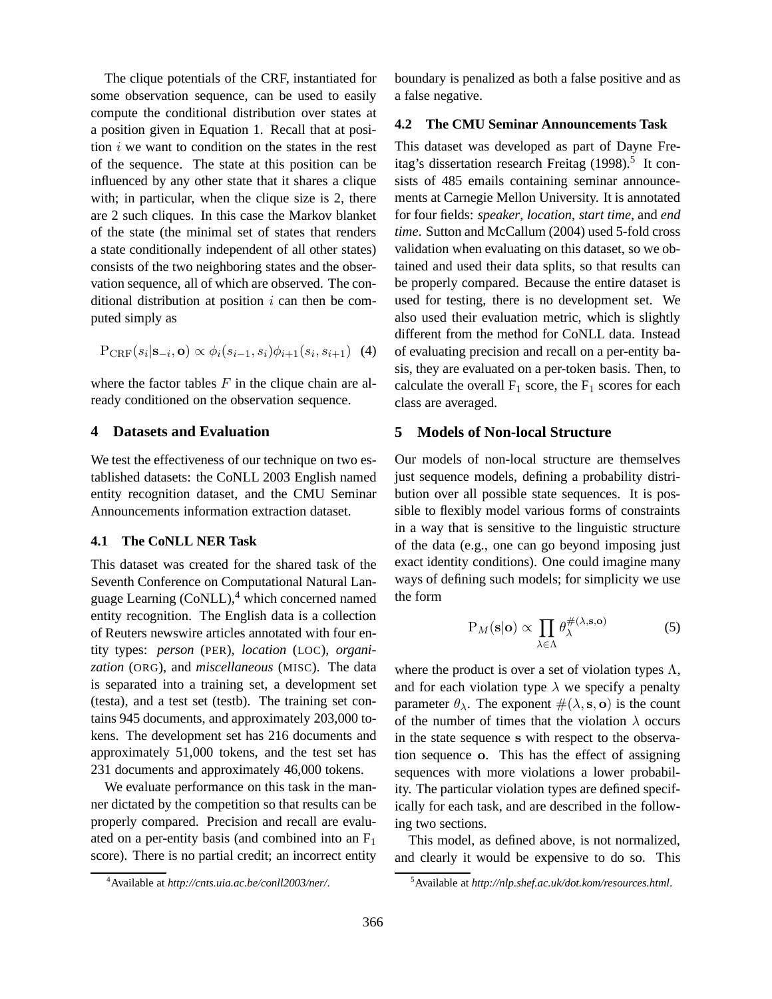The clique potentials of the CRF, instantiated for some observation sequence, can be used to easily compute the conditional distribution over states at a position given in Equation 1. Recall that at position  $i$  we want to condition on the states in the rest of the sequence. The state at this position can be influenced by any other state that it shares a clique with; in particular, when the clique size is 2, there are 2 such cliques. In this case the Markov blanket of the state (the minimal set of states that renders a state conditionally independent of all other states) consists of the two neighboring states and the observation sequence, all of which are observed. The conditional distribution at position  $i$  can then be computed simply as

$$
P_{CRF}(s_i|\mathbf{s}_{-i},\mathbf{o}) \propto \phi_i(s_{i-1},s_i)\phi_{i+1}(s_i,s_{i+1}) \quad (4)
$$

where the factor tables  $F$  in the clique chain are already conditioned on the observation sequence.

#### **4 Datasets and Evaluation**

We test the effectiveness of our technique on two established datasets: the CoNLL 2003 English named entity recognition dataset, and the CMU Seminar Announcements information extraction dataset.

### **4.1 The CoNLL NER Task**

This dataset was created for the shared task of the Seventh Conference on Computational Natural Language Learning  $(CoNLL)$ ,<sup>4</sup> which concerned named entity recognition. The English data is a collection of Reuters newswire articles annotated with four entity types: *person* (PER), *location* (LOC), *organization* (ORG), and *miscellaneous* (MISC). The data is separated into a training set, a development set (testa), and a test set (testb). The training set contains 945 documents, and approximately 203,000 tokens. The development set has 216 documents and approximately 51,000 tokens, and the test set has 231 documents and approximately 46,000 tokens.

We evaluate performance on this task in the manner dictated by the competition so that results can be properly compared. Precision and recall are evaluated on a per-entity basis (and combined into an  $F_1$ ) score). There is no partial credit; an incorrect entity

boundary is penalized as both a false positive and as a false negative.

#### **4.2 The CMU Seminar Announcements Task**

This dataset was developed as part of Dayne Freitag's dissertation research Freitag (1998).<sup>5</sup> It consists of 485 emails containing seminar announcements at Carnegie Mellon University. It is annotated for four fields: *speaker*, *location*, *start time*, and *end time*. Sutton and McCallum (2004) used 5-fold cross validation when evaluating on this dataset, so we obtained and used their data splits, so that results can be properly compared. Because the entire dataset is used for testing, there is no development set. We also used their evaluation metric, which is slightly different from the method for CoNLL data. Instead of evaluating precision and recall on a per-entity basis, they are evaluated on a per-token basis. Then, to calculate the overall  $F_1$  score, the  $F_1$  scores for each class are averaged.

#### **5 Models of Non-local Structure**

Our models of non-local structure are themselves just sequence models, defining a probability distribution over all possible state sequences. It is possible to flexibly model various forms of constraints in a way that is sensitive to the linguistic structure of the data (e.g., one can go beyond imposing just exact identity conditions). One could imagine many ways of defining such models; for simplicity we use the form

$$
P_M(s|o) \propto \prod_{\lambda \in \Lambda} \theta_{\lambda}^{\#(\lambda, s, o)}
$$
 (5)

where the product is over a set of violation types  $\Lambda$ , and for each violation type  $\lambda$  we specify a penalty parameter  $\theta_{\lambda}$ . The exponent  $\#(\lambda, \mathbf{s}, \mathbf{o})$  is the count of the number of times that the violation  $\lambda$  occurs in the state sequence s with respect to the observation sequence o. This has the effect of assigning sequences with more violations a lower probability. The particular violation types are defined specifically for each task, and are described in the following two sections.

This model, as defined above, is not normalized, and clearly it would be expensive to do so. This

<sup>4</sup>Available at *http://cnts.uia.ac.be/conll2003/ner/*.

<sup>5</sup>Available at *http://nlp.shef.ac.uk/dot.kom/resources.html*.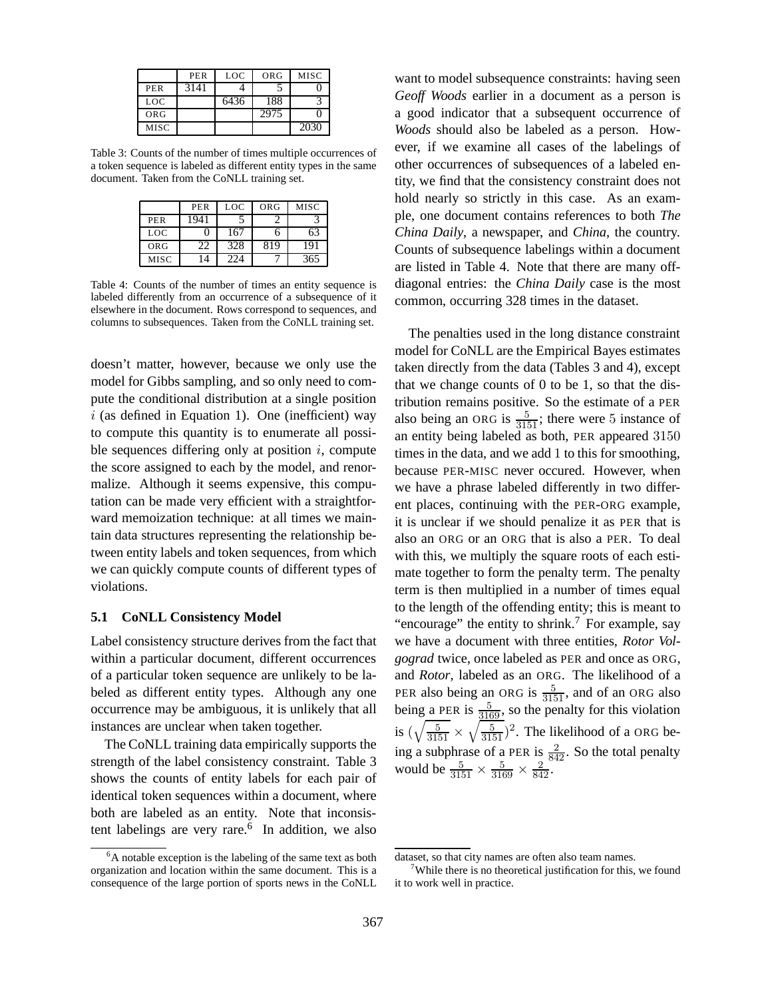|             | <b>PER</b> | LOC  | ORG  | <b>MISC</b> |
|-------------|------------|------|------|-------------|
| <b>PER</b>  | 3141       |      |      |             |
| <b>LOC</b>  |            | 6436 | 188  |             |
| ORG         |            |      | 2975 |             |
| <b>MISC</b> |            |      |      | 2030        |

Table 3: Counts of the number of times multiple occurrences of a token sequence is labeled as different entity types in the same document. Taken from the CoNLL training set.

|             | PER  | LOC | ORG | <b>MISC</b> |
|-------------|------|-----|-----|-------------|
| <b>PER</b>  | 1941 |     |     |             |
| LOC         |      | 167 |     | 63          |
| ORG         | 22   | 328 | 819 | 191         |
| <b>MISC</b> | 4    | 224 |     | 365         |

Table 4: Counts of the number of times an entity sequence is labeled differently from an occurrence of a subsequence of it elsewhere in the document. Rows correspond to sequences, and columns to subsequences. Taken from the CoNLL training set.

doesn't matter, however, because we only use the model for Gibbs sampling, and so only need to compute the conditional distribution at a single position  $i$  (as defined in Equation 1). One (inefficient) way to compute this quantity is to enumerate all possible sequences differing only at position  $i$ , compute the score assigned to each by the model, and renormalize. Although it seems expensive, this computation can be made very efficient with a straightforward memoization technique: at all times we maintain data structures representing the relationship between entity labels and token sequences, from which we can quickly compute counts of different types of violations.

#### **5.1 CoNLL Consistency Model**

Label consistency structure derives from the fact that within a particular document, different occurrences of a particular token sequence are unlikely to be labeled as different entity types. Although any one occurrence may be ambiguous, it is unlikely that all instances are unclear when taken together.

The CoNLL training data empirically supports the strength of the label consistency constraint. Table 3 shows the counts of entity labels for each pair of identical token sequences within a document, where both are labeled as an entity. Note that inconsistent labelings are very rare.<sup>6</sup> In addition, we also

want to model subsequence constraints: having seen *Geoff Woods* earlier in a document as a person is a good indicator that a subsequent occurrence of *Woods* should also be labeled as a person. However, if we examine all cases of the labelings of other occurrences of subsequences of a labeled entity, we find that the consistency constraint does not hold nearly so strictly in this case. As an example, one document contains references to both *The China Daily*, a newspaper, and *China*, the country. Counts of subsequence labelings within a document are listed in Table 4. Note that there are many offdiagonal entries: the *China Daily* case is the most common, occurring 328 times in the dataset.

The penalties used in the long distance constraint model for CoNLL are the Empirical Bayes estimates taken directly from the data (Tables 3 and 4), except that we change counts of  $0$  to be 1, so that the distribution remains positive. So the estimate of a PER also being an ORG is  $\frac{5}{3151}$ ; there were 5 instance of an entity being labeled as both, PER appeared 3150 times in the data, and we add 1 to this for smoothing, because PER-MISC never occured. However, when we have a phrase labeled differently in two different places, continuing with the PER-ORG example, it is unclear if we should penalize it as PER that is also an ORG or an ORG that is also a PER. To deal with this, we multiply the square roots of each estimate together to form the penalty term. The penalty term is then multiplied in a number of times equal to the length of the offending entity; this is meant to "encourage" the entity to shrink.<sup>7</sup> For example, say we have a document with three entities, *Rotor Volgograd* twice, once labeled as PER and once as ORG, and *Rotor*, labeled as an ORG. The likelihood of a PER also being an ORG is  $\frac{5}{3151}$ , and of an ORG also being a PER is  $\frac{5}{3169}$ , so the penalty for this violation is  $(\sqrt{\frac{5}{3151}} \times \sqrt{\frac{5}{3151}})^2$ . The likelihood of a ORG being a subphrase of a PER is  $\frac{2}{842}$ . So the total penalty would be  $\frac{5}{3151} \times \frac{5}{3169} \times \frac{2}{842}$ .

 ${}^{6}$ A notable exception is the labeling of the same text as both organization and location within the same document. This is a consequence of the large portion of sports news in the CoNLL

dataset, so that city names are often also team names.

While there is no theoretical justification for this, we found it to work well in practice.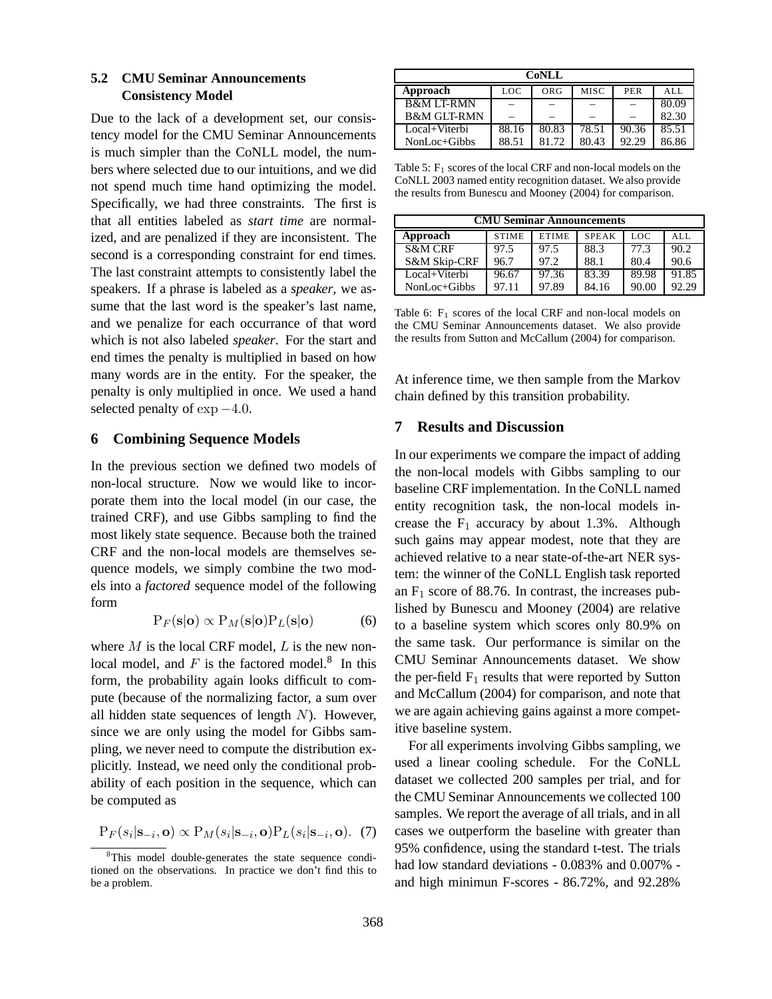# **5.2 CMU Seminar Announcements Consistency Model**

Due to the lack of a development set, our consistency model for the CMU Seminar Announcements is much simpler than the CoNLL model, the numbers where selected due to our intuitions, and we did not spend much time hand optimizing the model. Specifically, we had three constraints. The first is that all entities labeled as *start time* are normalized, and are penalized if they are inconsistent. The second is a corresponding constraint for end times. The last constraint attempts to consistently label the speakers. If a phrase is labeled as a *speaker*, we assume that the last word is the speaker's last name, and we penalize for each occurrance of that word which is not also labeled *speaker*. For the start and end times the penalty is multiplied in based on how many words are in the entity. For the speaker, the penalty is only multiplied in once. We used a hand selected penalty of  $\exp -4.0$ .

#### **6 Combining Sequence Models**

In the previous section we defined two models of non-local structure. Now we would like to incorporate them into the local model (in our case, the trained CRF), and use Gibbs sampling to find the most likely state sequence. Because both the trained CRF and the non-local models are themselves sequence models, we simply combine the two models into a *factored* sequence model of the following form

$$
P_F(s|o) \propto P_M(s|o)P_L(s|o)
$$
 (6)

where  $M$  is the local CRF model,  $L$  is the new nonlocal model, and  $F$  is the factored model.<sup>8</sup> In this form, the probability again looks difficult to compute (because of the normalizing factor, a sum over all hidden state sequences of length  $N$ ). However, since we are only using the model for Gibbs sampling, we never need to compute the distribution explicitly. Instead, we need only the conditional probability of each position in the sequence, which can be computed as

$$
P_F(s_i|\mathbf{s}_{-i},\mathbf{o}) \propto P_M(s_i|\mathbf{s}_{-i},\mathbf{o})P_L(s_i|\mathbf{s}_{-i},\mathbf{o}).
$$
 (7)

| CoNLL                  |       |       |       |       |       |
|------------------------|-------|-------|-------|-------|-------|
| Approach               | LOC   | ORG   | MISC  | PER   | AI.I  |
| <b>B&amp;M LT-RMN</b>  |       |       |       |       | 80.09 |
| <b>B&amp;M GLT-RMN</b> |       |       |       |       | 82.30 |
| Local+Viterbi          | 88.16 | 80.83 | 78.51 | 90.36 | 85.51 |
| NonLoc+Gibbs           | 88.51 | 81 72 | 80.43 | 92.29 | 86.86 |

Table 5:  $F_1$  scores of the local CRF and non-local models on the CoNLL 2003 named entity recognition dataset. We also provide the results from Bunescu and Mooney (2004) for comparison.

| <b>CMU Seminar Announcements</b> |              |              |              |       |       |
|----------------------------------|--------------|--------------|--------------|-------|-------|
| Approach                         | <b>STIME</b> | <b>ETIME</b> | <b>SPEAK</b> | LOC.  | AI.L  |
| S&M CRF                          | 97.5         | 97.5         | 88.3         | 77.3  | 90.2  |
| <b>S&amp;M Skip-CRF</b>          | 96.7         | 97.2         | 88.1         | 80.4  | 90.6  |
| Local+Viterbi                    | 96.67        | 97.36        | 83.39        | 89.98 | 91.85 |
| NonLoc+Gibbs                     | 97.11        | 97.89        | 84.16        | 90.00 | 92.29 |

Table 6:  $F_1$  scores of the local CRF and non-local models on the CMU Seminar Announcements dataset. We also provide the results from Sutton and McCallum (2004) for comparison.

At inference time, we then sample from the Markov chain defined by this transition probability.

# **7 Results and Discussion**

In our experiments we compare the impact of adding the non-local models with Gibbs sampling to our baseline CRF implementation. In the CoNLL named entity recognition task, the non-local models increase the  $F_1$  accuracy by about 1.3%. Although such gains may appear modest, note that they are achieved relative to a near state-of-the-art NER system: the winner of the CoNLL English task reported an  $F_1$  score of 88.76. In contrast, the increases published by Bunescu and Mooney (2004) are relative to a baseline system which scores only 80.9% on the same task. Our performance is similar on the CMU Seminar Announcements dataset. We show the per-field  $F_1$  results that were reported by Sutton and McCallum (2004) for comparison, and note that we are again achieving gains against a more competitive baseline system.

For all experiments involving Gibbs sampling, we used a linear cooling schedule. For the CoNLL dataset we collected 200 samples per trial, and for the CMU Seminar Announcements we collected 100 samples. We report the average of all trials, and in all cases we outperform the baseline with greater than 95% confidence, using the standard t-test. The trials had low standard deviations - 0.083% and 0.007% and high minimun F-scores - 86.72%, and 92.28%

<sup>&</sup>lt;sup>8</sup>This model double-generates the state sequence conditioned on the observations. In practice we don't find this to be a problem.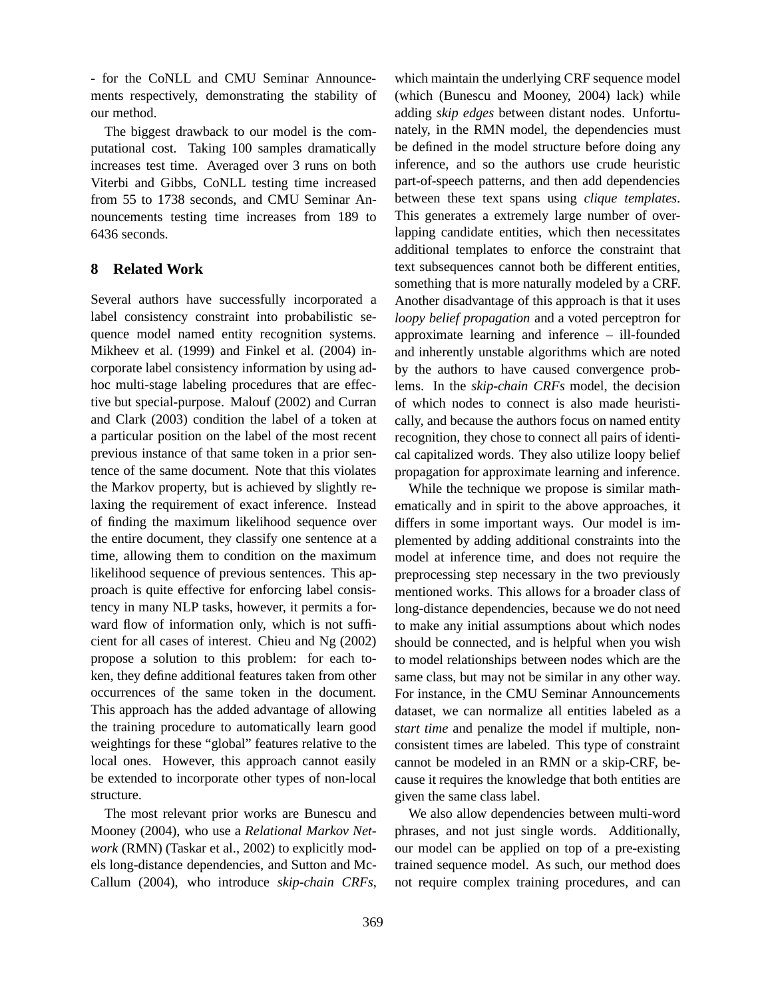- for the CoNLL and CMU Seminar Announcements respectively, demonstrating the stability of our method.

The biggest drawback to our model is the computational cost. Taking 100 samples dramatically increases test time. Averaged over 3 runs on both Viterbi and Gibbs, CoNLL testing time increased from 55 to 1738 seconds, and CMU Seminar Announcements testing time increases from 189 to 6436 seconds.

## **8 Related Work**

Several authors have successfully incorporated a label consistency constraint into probabilistic sequence model named entity recognition systems. Mikheev et al. (1999) and Finkel et al. (2004) incorporate label consistency information by using adhoc multi-stage labeling procedures that are effective but special-purpose. Malouf (2002) and Curran and Clark (2003) condition the label of a token at a particular position on the label of the most recent previous instance of that same token in a prior sentence of the same document. Note that this violates the Markov property, but is achieved by slightly relaxing the requirement of exact inference. Instead of finding the maximum likelihood sequence over the entire document, they classify one sentence at a time, allowing them to condition on the maximum likelihood sequence of previous sentences. This approach is quite effective for enforcing label consistency in many NLP tasks, however, it permits a forward flow of information only, which is not sufficient for all cases of interest. Chieu and Ng (2002) propose a solution to this problem: for each token, they define additional features taken from other occurrences of the same token in the document. This approach has the added advantage of allowing the training procedure to automatically learn good weightings for these "global" features relative to the local ones. However, this approach cannot easily be extended to incorporate other types of non-local structure.

The most relevant prior works are Bunescu and Mooney (2004), who use a *Relational Markov Network* (RMN) (Taskar et al., 2002) to explicitly models long-distance dependencies, and Sutton and Mc-Callum (2004), who introduce *skip-chain CRFs*, which maintain the underlying CRF sequence model (which (Bunescu and Mooney, 2004) lack) while adding *skip edges* between distant nodes. Unfortunately, in the RMN model, the dependencies must be defined in the model structure before doing any inference, and so the authors use crude heuristic part-of-speech patterns, and then add dependencies between these text spans using *clique templates*. This generates a extremely large number of overlapping candidate entities, which then necessitates additional templates to enforce the constraint that text subsequences cannot both be different entities, something that is more naturally modeled by a CRF. Another disadvantage of this approach is that it uses *loopy belief propagation* and a voted perceptron for approximate learning and inference – ill-founded and inherently unstable algorithms which are noted by the authors to have caused convergence problems. In the *skip-chain CRFs* model, the decision of which nodes to connect is also made heuristically, and because the authors focus on named entity recognition, they chose to connect all pairs of identical capitalized words. They also utilize loopy belief propagation for approximate learning and inference.

While the technique we propose is similar mathematically and in spirit to the above approaches, it differs in some important ways. Our model is implemented by adding additional constraints into the model at inference time, and does not require the preprocessing step necessary in the two previously mentioned works. This allows for a broader class of long-distance dependencies, because we do not need to make any initial assumptions about which nodes should be connected, and is helpful when you wish to model relationships between nodes which are the same class, but may not be similar in any other way. For instance, in the CMU Seminar Announcements dataset, we can normalize all entities labeled as a *start time* and penalize the model if multiple, nonconsistent times are labeled. This type of constraint cannot be modeled in an RMN or a skip-CRF, because it requires the knowledge that both entities are given the same class label.

We also allow dependencies between multi-word phrases, and not just single words. Additionally, our model can be applied on top of a pre-existing trained sequence model. As such, our method does not require complex training procedures, and can